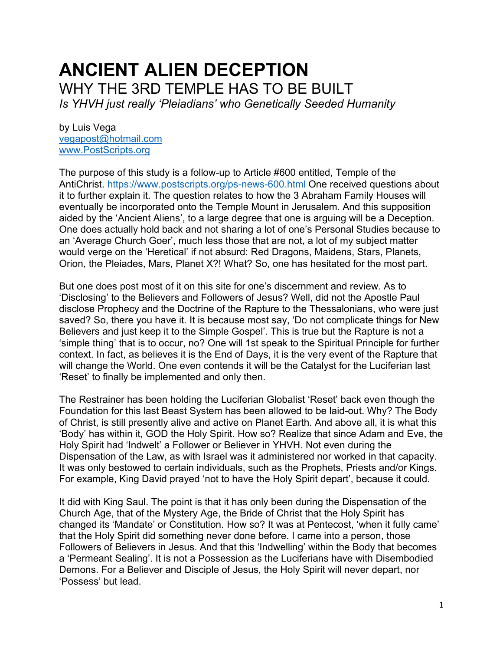# **ANCIENT ALIEN DECEPTION** WHY THE 3RD TEMPLE HAS TO BE BUILT *Is YHVH just really 'Pleiadians' who Genetically Seeded Humanity*

by Luis Vega [vegapost@hotmail.com](mailto:vegapost@hotmail.com) [www.PostScripts.org](http://www.postscripts.org/)

The purpose of this study is a follow-up to Article #600 entitled, Temple of the AntiChrist.<https://www.postscripts.org/ps-news-600.html> One received questions about it to further explain it. The question relates to how the 3 Abraham Family Houses will eventually be incorporated onto the Temple Mount in Jerusalem. And this supposition aided by the 'Ancient Aliens', to a large degree that one is arguing will be a Deception. One does actually hold back and not sharing a lot of one's Personal Studies because to an 'Average Church Goer', much less those that are not, a lot of my subject matter would verge on the 'Heretical' if not absurd: Red Dragons, Maidens, Stars, Planets, Orion, the Pleiades, Mars, Planet X?! What? So, one has hesitated for the most part.

But one does post most of it on this site for one's discernment and review. As to 'Disclosing' to the Believers and Followers of Jesus? Well, did not the Apostle Paul disclose Prophecy and the Doctrine of the Rapture to the Thessalonians, who were just saved? So, there you have it. It is because most say, 'Do not complicate things for New Believers and just keep it to the Simple Gospel'. This is true but the Rapture is not a 'simple thing' that is to occur, no? One will 1st speak to the Spiritual Principle for further context. In fact, as believes it is the End of Days, it is the very event of the Rapture that will change the World. One even contends it will be the Catalyst for the Luciferian last 'Reset' to finally be implemented and only then.

The Restrainer has been holding the Luciferian Globalist 'Reset' back even though the Foundation for this last Beast System has been allowed to be laid-out. Why? The Body of Christ, is still presently alive and active on Planet Earth. And above all, it is what this 'Body' has within it, GOD the Holy Spirit. How so? Realize that since Adam and Eve, the Holy Spirit had 'Indwelt' a Follower or Believer in YHVH. Not even during the Dispensation of the Law, as with Israel was it administered nor worked in that capacity. It was only bestowed to certain individuals, such as the Prophets, Priests and/or Kings. For example, King David prayed 'not to have the Holy Spirit depart', because it could.

It did with King Saul. The point is that it has only been during the Dispensation of the Church Age, that of the Mystery Age, the Bride of Christ that the Holy Spirit has changed its 'Mandate' or Constitution. How so? It was at Pentecost, 'when it fully came' that the Holy Spirit did something never done before. I came into a person, those Followers of Believers in Jesus. And that this 'Indwelling' within the Body that becomes a 'Permeant Sealing'. It is not a Possession as the Luciferians have with Disembodied Demons. For a Believer and Disciple of Jesus, the Holy Spirit will never depart, nor 'Possess' but lead.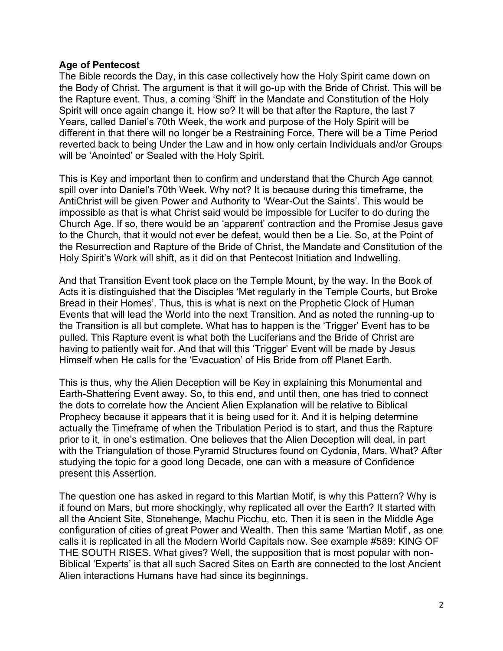#### **Age of Pentecost**

The Bible records the Day, in this case collectively how the Holy Spirit came down on the Body of Christ. The argument is that it will go-up with the Bride of Christ. This will be the Rapture event. Thus, a coming 'Shift' in the Mandate and Constitution of the Holy Spirit will once again change it. How so? It will be that after the Rapture, the last 7 Years, called Daniel's 70th Week, the work and purpose of the Holy Spirit will be different in that there will no longer be a Restraining Force. There will be a Time Period reverted back to being Under the Law and in how only certain Individuals and/or Groups will be 'Anointed' or Sealed with the Holy Spirit.

This is Key and important then to confirm and understand that the Church Age cannot spill over into Daniel's 70th Week. Why not? It is because during this timeframe, the AntiChrist will be given Power and Authority to 'Wear-Out the Saints'. This would be impossible as that is what Christ said would be impossible for Lucifer to do during the Church Age. If so, there would be an 'apparent' contraction and the Promise Jesus gave to the Church, that it would not ever be defeat, would then be a Lie. So, at the Point of the Resurrection and Rapture of the Bride of Christ, the Mandate and Constitution of the Holy Spirit's Work will shift, as it did on that Pentecost Initiation and Indwelling.

And that Transition Event took place on the Temple Mount, by the way. In the Book of Acts it is distinguished that the Disciples 'Met regularly in the Temple Courts, but Broke Bread in their Homes'. Thus, this is what is next on the Prophetic Clock of Human Events that will lead the World into the next Transition. And as noted the running-up to the Transition is all but complete. What has to happen is the 'Trigger' Event has to be pulled. This Rapture event is what both the Luciferians and the Bride of Christ are having to patiently wait for. And that will this 'Trigger' Event will be made by Jesus Himself when He calls for the 'Evacuation' of His Bride from off Planet Earth.

This is thus, why the Alien Deception will be Key in explaining this Monumental and Earth-Shattering Event away. So, to this end, and until then, one has tried to connect the dots to correlate how the Ancient Alien Explanation will be relative to Biblical Prophecy because it appears that it is being used for it. And it is helping determine actually the Timeframe of when the Tribulation Period is to start, and thus the Rapture prior to it, in one's estimation. One believes that the Alien Deception will deal, in part with the Triangulation of those Pyramid Structures found on Cydonia, Mars. What? After studying the topic for a good long Decade, one can with a measure of Confidence present this Assertion.

The question one has asked in regard to this Martian Motif, is why this Pattern? Why is it found on Mars, but more shockingly, why replicated all over the Earth? It started with all the Ancient Site, Stonehenge, Machu Picchu, etc. Then it is seen in the Middle Age configuration of cities of great Power and Wealth. Then this same 'Martian Motif', as one calls it is replicated in all the Modern World Capitals now. See example #589: KING OF THE SOUTH RISES. What gives? Well, the supposition that is most popular with non-Biblical 'Experts' is that all such Sacred Sites on Earth are connected to the lost Ancient Alien interactions Humans have had since its beginnings.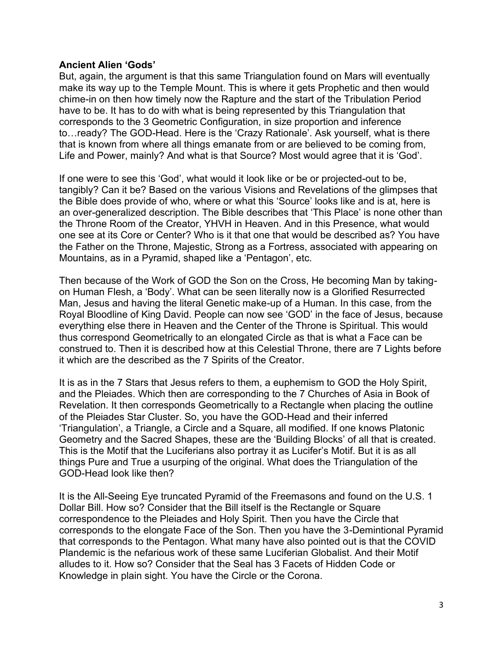#### **Ancient Alien 'Gods'**

But, again, the argument is that this same Triangulation found on Mars will eventually make its way up to the Temple Mount. This is where it gets Prophetic and then would chime-in on then how timely now the Rapture and the start of the Tribulation Period have to be. It has to do with what is being represented by this Triangulation that corresponds to the 3 Geometric Configuration, in size proportion and inference to…ready? The GOD-Head. Here is the 'Crazy Rationale'. Ask yourself, what is there that is known from where all things emanate from or are believed to be coming from, Life and Power, mainly? And what is that Source? Most would agree that it is 'God'.

If one were to see this 'God', what would it look like or be or projected-out to be, tangibly? Can it be? Based on the various Visions and Revelations of the glimpses that the Bible does provide of who, where or what this 'Source' looks like and is at, here is an over-generalized description. The Bible describes that 'This Place' is none other than the Throne Room of the Creator, YHVH in Heaven. And in this Presence, what would one see at its Core or Center? Who is it that one that would be described as? You have the Father on the Throne, Majestic, Strong as a Fortress, associated with appearing on Mountains, as in a Pyramid, shaped like a 'Pentagon', etc.

Then because of the Work of GOD the Son on the Cross, He becoming Man by takingon Human Flesh, a 'Body'. What can be seen literally now is a Glorified Resurrected Man, Jesus and having the literal Genetic make-up of a Human. In this case, from the Royal Bloodline of King David. People can now see 'GOD' in the face of Jesus, because everything else there in Heaven and the Center of the Throne is Spiritual. This would thus correspond Geometrically to an elongated Circle as that is what a Face can be construed to. Then it is described how at this Celestial Throne, there are 7 Lights before it which are the described as the 7 Spirits of the Creator.

It is as in the 7 Stars that Jesus refers to them, a euphemism to GOD the Holy Spirit, and the Pleiades. Which then are corresponding to the 7 Churches of Asia in Book of Revelation. It then corresponds Geometrically to a Rectangle when placing the outline of the Pleiades Star Cluster. So, you have the GOD-Head and their inferred 'Triangulation', a Triangle, a Circle and a Square, all modified. If one knows Platonic Geometry and the Sacred Shapes, these are the 'Building Blocks' of all that is created. This is the Motif that the Luciferians also portray it as Lucifer's Motif. But it is as all things Pure and True a usurping of the original. What does the Triangulation of the GOD-Head look like then?

It is the All-Seeing Eye truncated Pyramid of the Freemasons and found on the U.S. 1 Dollar Bill. How so? Consider that the Bill itself is the Rectangle or Square correspondence to the Pleiades and Holy Spirit. Then you have the Circle that corresponds to the elongate Face of the Son. Then you have the 3-Demintional Pyramid that corresponds to the Pentagon. What many have also pointed out is that the COVID Plandemic is the nefarious work of these same Luciferian Globalist. And their Motif alludes to it. How so? Consider that the Seal has 3 Facets of Hidden Code or Knowledge in plain sight. You have the Circle or the Corona.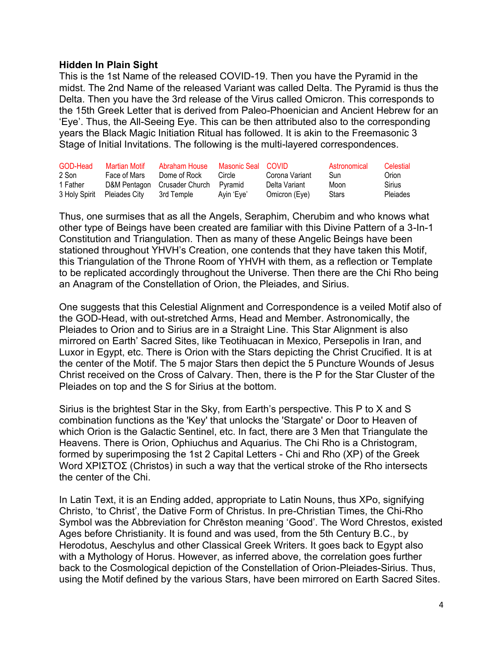#### **Hidden In Plain Sight**

This is the 1st Name of the released COVID-19. Then you have the Pyramid in the midst. The 2nd Name of the released Variant was called Delta. The Pyramid is thus the Delta. Then you have the 3rd release of the Virus called Omicron. This corresponds to the 15th Greek Letter that is derived from Paleo-Phoenician and Ancient Hebrew for an 'Eye'. Thus, the All-Seeing Eye. This can be then attributed also to the corresponding years the Black Magic Initiation Ritual has followed. It is akin to the Freemasonic 3 Stage of Initial Invitations. The following is the multi-layered correspondences.

| GOD-Head | Martian Motif               | Abraham House                | Masonic Seal COVID |                | Astronomical | Celestial |
|----------|-----------------------------|------------------------------|--------------------|----------------|--------------|-----------|
| 2 Son    | Face of Mars                | Dome of Rock                 | Circle             | Corona Variant | Sun          | Orion     |
| 1 Father |                             | D&M Pentagon Crusader Church | Pvramid            | Delta Variant  | Moon         | Sirius    |
|          | 3 Holy Spirit Pleiades City | 3rd Temple                   | Avin 'Eve'         | Omicron (Eye)  | <b>Stars</b> | Pleiades  |

Thus, one surmises that as all the Angels, Seraphim, Cherubim and who knows what other type of Beings have been created are familiar with this Divine Pattern of a 3-In-1 Constitution and Triangulation. Then as many of these Angelic Beings have been stationed throughout YHVH's Creation, one contends that they have taken this Motif, this Triangulation of the Throne Room of YHVH with them, as a reflection or Template to be replicated accordingly throughout the Universe. Then there are the Chi Rho being an Anagram of the Constellation of Orion, the Pleiades, and Sirius.

One suggests that this Celestial Alignment and Correspondence is a veiled Motif also of the GOD-Head, with out-stretched Arms, Head and Member. Astronomically, the Pleiades to Orion and to Sirius are in a Straight Line. This Star Alignment is also mirrored on Earth' Sacred Sites, like Teotihuacan in Mexico, Persepolis in Iran, and Luxor in Egypt, etc. There is Orion with the Stars depicting the Christ Crucified. It is at the center of the Motif. The 5 major Stars then depict the 5 Puncture Wounds of Jesus Christ received on the Cross of Calvary. Then, there is the P for the Star Cluster of the Pleiades on top and the S for Sirius at the bottom.

Sirius is the brightest Star in the Sky, from Earth's perspective. This P to X and S combination functions as the 'Key' that unlocks the 'Stargate' or Door to Heaven of which Orion is the Galactic Sentinel, etc. In fact, there are 3 Men that Triangulate the Heavens. There is Orion, Ophiuchus and Aquarius. The Chi Rho is a Christogram, formed by superimposing the 1st 2 Capital Letters - Chi and Rho (ΧΡ) of the Greek Word ΧΡΙΣΤΟΣ (Christos) in such a way that the vertical stroke of the Rho intersects the center of the Chi.

In Latin Text, it is an Ending added, appropriate to Latin Nouns, thus XPo, signifying Christo, 'to Christ', the Dative Form of Christus. In pre-Christian Times, the Chi-Rho Symbol was the Abbreviation for Chrēston meaning 'Good'. The Word Chrestos, existed Ages before Christianity. It is found and was used, from the 5th Century B.C., by Herodotus, Aeschylus and other Classical Greek Writers. It goes back to Egypt also with a Mythology of Horus. However, as inferred above, the correlation goes further back to the Cosmological depiction of the Constellation of Orion-Pleiades-Sirius. Thus, using the Motif defined by the various Stars, have been mirrored on Earth Sacred Sites.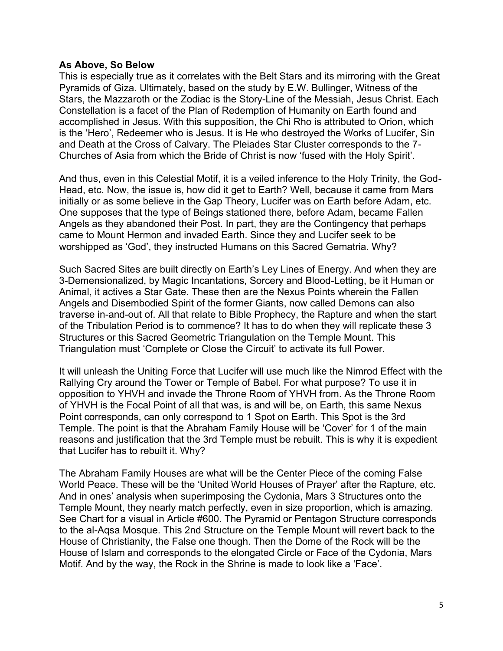#### **As Above, So Below**

This is especially true as it correlates with the Belt Stars and its mirroring with the Great Pyramids of Giza. Ultimately, based on the study by E.W. Bullinger, Witness of the Stars, the Mazzaroth or the Zodiac is the Story-Line of the Messiah, Jesus Christ. Each Constellation is a facet of the Plan of Redemption of Humanity on Earth found and accomplished in Jesus. With this supposition, the Chi Rho is attributed to Orion, which is the 'Hero', Redeemer who is Jesus. It is He who destroyed the Works of Lucifer, Sin and Death at the Cross of Calvary. The Pleiades Star Cluster corresponds to the 7- Churches of Asia from which the Bride of Christ is now 'fused with the Holy Spirit'.

And thus, even in this Celestial Motif, it is a veiled inference to the Holy Trinity, the God-Head, etc. Now, the issue is, how did it get to Earth? Well, because it came from Mars initially or as some believe in the Gap Theory, Lucifer was on Earth before Adam, etc. One supposes that the type of Beings stationed there, before Adam, became Fallen Angels as they abandoned their Post. In part, they are the Contingency that perhaps came to Mount Hermon and invaded Earth. Since they and Lucifer seek to be worshipped as 'God', they instructed Humans on this Sacred Gematria. Why?

Such Sacred Sites are built directly on Earth's Ley Lines of Energy. And when they are 3-Demensionalized, by Magic Incantations, Sorcery and Blood-Letting, be it Human or Animal, it actives a Star Gate. These then are the Nexus Points wherein the Fallen Angels and Disembodied Spirit of the former Giants, now called Demons can also traverse in-and-out of. All that relate to Bible Prophecy, the Rapture and when the start of the Tribulation Period is to commence? It has to do when they will replicate these 3 Structures or this Sacred Geometric Triangulation on the Temple Mount. This Triangulation must 'Complete or Close the Circuit' to activate its full Power.

It will unleash the Uniting Force that Lucifer will use much like the Nimrod Effect with the Rallying Cry around the Tower or Temple of Babel. For what purpose? To use it in opposition to YHVH and invade the Throne Room of YHVH from. As the Throne Room of YHVH is the Focal Point of all that was, is and will be, on Earth, this same Nexus Point corresponds, can only correspond to 1 Spot on Earth. This Spot is the 3rd Temple. The point is that the Abraham Family House will be 'Cover' for 1 of the main reasons and justification that the 3rd Temple must be rebuilt. This is why it is expedient that Lucifer has to rebuilt it. Why?

The Abraham Family Houses are what will be the Center Piece of the coming False World Peace. These will be the 'United World Houses of Prayer' after the Rapture, etc. And in ones' analysis when superimposing the Cydonia, Mars 3 Structures onto the Temple Mount, they nearly match perfectly, even in size proportion, which is amazing. See Chart for a visual in Article #600. The Pyramid or Pentagon Structure corresponds to the al-Aqsa Mosque. This 2nd Structure on the Temple Mount will revert back to the House of Christianity, the False one though. Then the Dome of the Rock will be the House of Islam and corresponds to the elongated Circle or Face of the Cydonia, Mars Motif. And by the way, the Rock in the Shrine is made to look like a 'Face'.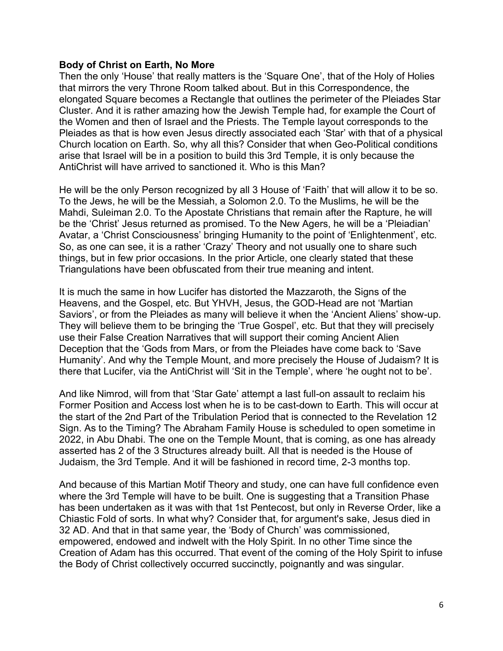#### **Body of Christ on Earth, No More**

Then the only 'House' that really matters is the 'Square One', that of the Holy of Holies that mirrors the very Throne Room talked about. But in this Correspondence, the elongated Square becomes a Rectangle that outlines the perimeter of the Pleiades Star Cluster. And it is rather amazing how the Jewish Temple had, for example the Court of the Women and then of Israel and the Priests. The Temple layout corresponds to the Pleiades as that is how even Jesus directly associated each 'Star' with that of a physical Church location on Earth. So, why all this? Consider that when Geo-Political conditions arise that Israel will be in a position to build this 3rd Temple, it is only because the AntiChrist will have arrived to sanctioned it. Who is this Man?

He will be the only Person recognized by all 3 House of 'Faith' that will allow it to be so. To the Jews, he will be the Messiah, a Solomon 2.0. To the Muslims, he will be the Mahdi, Suleiman 2.0. To the Apostate Christians that remain after the Rapture, he will be the 'Christ' Jesus returned as promised. To the New Agers, he will be a 'Pleiadian' Avatar, a 'Christ Consciousness' bringing Humanity to the point of 'Enlightenment', etc. So, as one can see, it is a rather 'Crazy' Theory and not usually one to share such things, but in few prior occasions. In the prior Article, one clearly stated that these Triangulations have been obfuscated from their true meaning and intent.

It is much the same in how Lucifer has distorted the Mazzaroth, the Signs of the Heavens, and the Gospel, etc. But YHVH, Jesus, the GOD-Head are not 'Martian Saviors', or from the Pleiades as many will believe it when the 'Ancient Aliens' show-up. They will believe them to be bringing the 'True Gospel', etc. But that they will precisely use their False Creation Narratives that will support their coming Ancient Alien Deception that the 'Gods from Mars, or from the Pleiades have come back to 'Save Humanity'. And why the Temple Mount, and more precisely the House of Judaism? It is there that Lucifer, via the AntiChrist will 'Sit in the Temple', where 'he ought not to be'.

And like Nimrod, will from that 'Star Gate' attempt a last full-on assault to reclaim his Former Position and Access lost when he is to be cast-down to Earth. This will occur at the start of the 2nd Part of the Tribulation Period that is connected to the Revelation 12 Sign. As to the Timing? The Abraham Family House is scheduled to open sometime in 2022, in Abu Dhabi. The one on the Temple Mount, that is coming, as one has already asserted has 2 of the 3 Structures already built. All that is needed is the House of Judaism, the 3rd Temple. And it will be fashioned in record time, 2-3 months top.

And because of this Martian Motif Theory and study, one can have full confidence even where the 3rd Temple will have to be built. One is suggesting that a Transition Phase has been undertaken as it was with that 1st Pentecost, but only in Reverse Order, like a Chiastic Fold of sorts. In what why? Consider that, for argument's sake, Jesus died in 32 AD. And that in that same year, the 'Body of Church' was commissioned, empowered, endowed and indwelt with the Holy Spirit. In no other Time since the Creation of Adam has this occurred. That event of the coming of the Holy Spirit to infuse the Body of Christ collectively occurred succinctly, poignantly and was singular.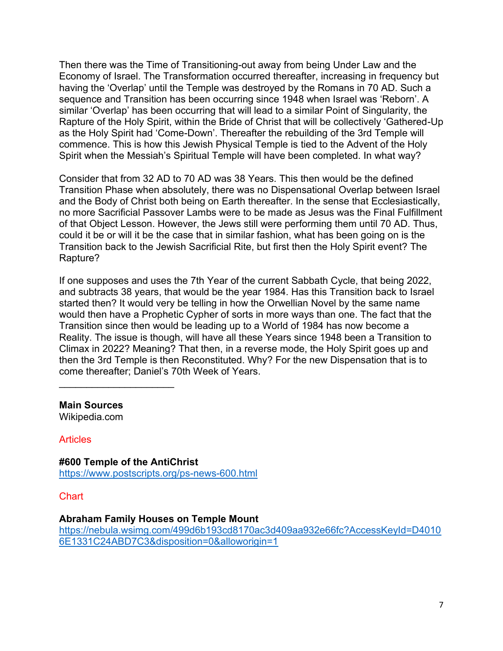Then there was the Time of Transitioning-out away from being Under Law and the Economy of Israel. The Transformation occurred thereafter, increasing in frequency but having the 'Overlap' until the Temple was destroyed by the Romans in 70 AD. Such a sequence and Transition has been occurring since 1948 when Israel was 'Reborn'. A similar 'Overlap' has been occurring that will lead to a similar Point of Singularity, the Rapture of the Holy Spirit, within the Bride of Christ that will be collectively 'Gathered-Up as the Holy Spirit had 'Come-Down'. Thereafter the rebuilding of the 3rd Temple will commence. This is how this Jewish Physical Temple is tied to the Advent of the Holy Spirit when the Messiah's Spiritual Temple will have been completed. In what way?

Consider that from 32 AD to 70 AD was 38 Years. This then would be the defined Transition Phase when absolutely, there was no Dispensational Overlap between Israel and the Body of Christ both being on Earth thereafter. In the sense that Ecclesiastically, no more Sacrificial Passover Lambs were to be made as Jesus was the Final Fulfillment of that Object Lesson. However, the Jews still were performing them until 70 AD. Thus, could it be or will it be the case that in similar fashion, what has been going on is the Transition back to the Jewish Sacrificial Rite, but first then the Holy Spirit event? The Rapture?

If one supposes and uses the 7th Year of the current Sabbath Cycle, that being 2022, and subtracts 38 years, that would be the year 1984. Has this Transition back to Israel started then? It would very be telling in how the Orwellian Novel by the same name would then have a Prophetic Cypher of sorts in more ways than one. The fact that the Transition since then would be leading up to a World of 1984 has now become a Reality. The issue is though, will have all these Years since 1948 been a Transition to Climax in 2022? Meaning? That then, in a reverse mode, the Holy Spirit goes up and then the 3rd Temple is then Reconstituted. Why? For the new Dispensation that is to come thereafter; Daniel's 70th Week of Years.

#### **Main Sources**

 $\mathcal{L}_\text{max}$  , where  $\mathcal{L}_\text{max}$  , we have the set of  $\mathcal{L}_\text{max}$ 

Wikipedia.com

#### **Articles**

**#600 Temple of the AntiChrist** <https://www.postscripts.org/ps-news-600.html>

**Chart** 

### **Abraham Family Houses on Temple Mount**

[https://nebula.wsimg.com/499d6b193cd8170ac3d409aa932e66fc?AccessKeyId=D4010](https://nebula.wsimg.com/499d6b193cd8170ac3d409aa932e66fc?AccessKeyId=D40106E1331C24ABD7C3&disposition=0&alloworigin=1) [6E1331C24ABD7C3&disposition=0&alloworigin=1](https://nebula.wsimg.com/499d6b193cd8170ac3d409aa932e66fc?AccessKeyId=D40106E1331C24ABD7C3&disposition=0&alloworigin=1)